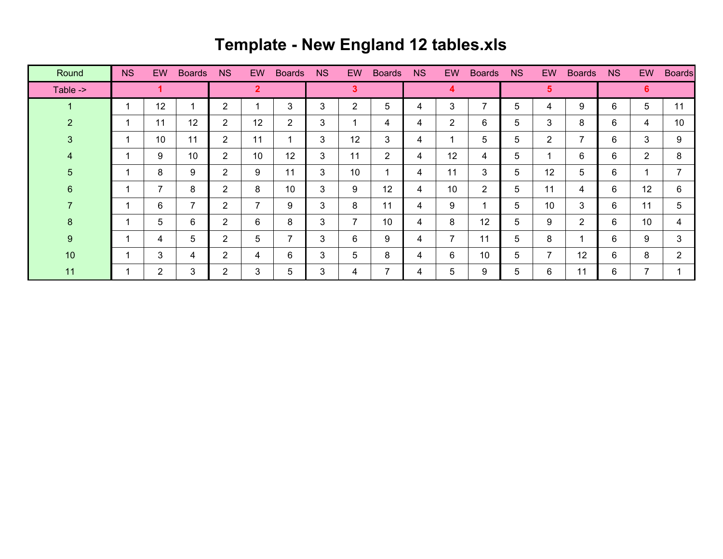## **Template - New England 12 tables.xls**

| Round          | <b>NS</b> | <b>EW</b>      | <b>Boards</b>            | <b>NS</b>      | <b>EW</b> | <b>Boards</b>  | <b>NS</b> | EW.                   | <b>Boards</b> | <b>NS</b> | <b>EW</b>      | <b>Boards</b>  | <b>NS</b>      | <b>EW</b>      | <b>Boards</b>  | <b>NS</b> | <b>EW</b>      | <b>Boards</b>  |
|----------------|-----------|----------------|--------------------------|----------------|-----------|----------------|-----------|-----------------------|---------------|-----------|----------------|----------------|----------------|----------------|----------------|-----------|----------------|----------------|
| Table ->       |           |                |                          | $\overline{2}$ |           |                | 3         |                       |               | 4         |                |                | $5\phantom{1}$ |                |                | 6         |                |                |
| -1             |           | 12             | 4                        | 2              |           | 3              | 3         | $\mathbf{2}^{\prime}$ | 5             | 4         | 3              | $\overline{ }$ | 5              | 4              | 9              | 6         | 5              | 11             |
| $\overline{2}$ |           | 11             | 12                       | $\overline{2}$ | 12        | $\overline{2}$ | 3         |                       | 4             | 4         | 2              | 6              | 5              | 3              | 8              | 6         | 4              | 10             |
| 3              |           | 10             | 11                       | $\overline{2}$ | 11        | 1              | 3         | 12                    | 3             | 4         | 4              | 5              | 5              | $\overline{2}$ | $\overline{7}$ | 6         | 3              | 9              |
| 4              |           | 9              | 10                       | $\overline{2}$ | 10        | 12             | 3         | 11                    | 2             | 4         | 12             | 4              | 5              |                | 6              | 6         | $\overline{2}$ | 8              |
| 5              |           | 8              | 9                        | $\overline{2}$ | 9         | 11             | 3         | 10                    |               | 4         | 11             | 3              | 5              | 12             | 5              | 6         |                |                |
| 6              |           | 7              | 8                        | $\overline{2}$ | 8         | 10             | 3         | 9                     | 12            | 4         | 10             | 2              | 5.             | 11             | 4              | 6         | 12             | 6              |
|                |           | 6              | $\overline{\phantom{a}}$ | $\overline{2}$ | 7         | 9              | 3         | 8                     | 11            | 4         | 9              |                | 5              | 10             | 3              | 6         | 11             | 5              |
| 8              |           | 5              | 6                        | $\overline{2}$ | 6         | 8              | 3         | 7                     | 10            | 4         | 8              | 12             | 5.             | 9              | $\overline{2}$ | 6         | 10             | 4              |
| 9              |           | 4              | 5                        | $\overline{2}$ | 5         | 7              | 3         | 6                     | 9             | 4         | $\overline{7}$ | 11             | 5              | 8              | $\mathbf{1}$   | 6         | 9              | 3              |
| 10             |           | 3              | 4                        | $\overline{2}$ | 4         | 6              | 3         | 5                     | 8             | 4         | 6              | 10             | 5              | $\overline{7}$ | 12             | 6         | 8              | $\overline{2}$ |
| 11             |           | $\overline{2}$ | 3                        | $\overline{2}$ | 3         | 5              | 3         | 4                     | 7             | 4         | 5              | 9              | 5              | 6              | 11             | 6         | $\overline{7}$ |                |